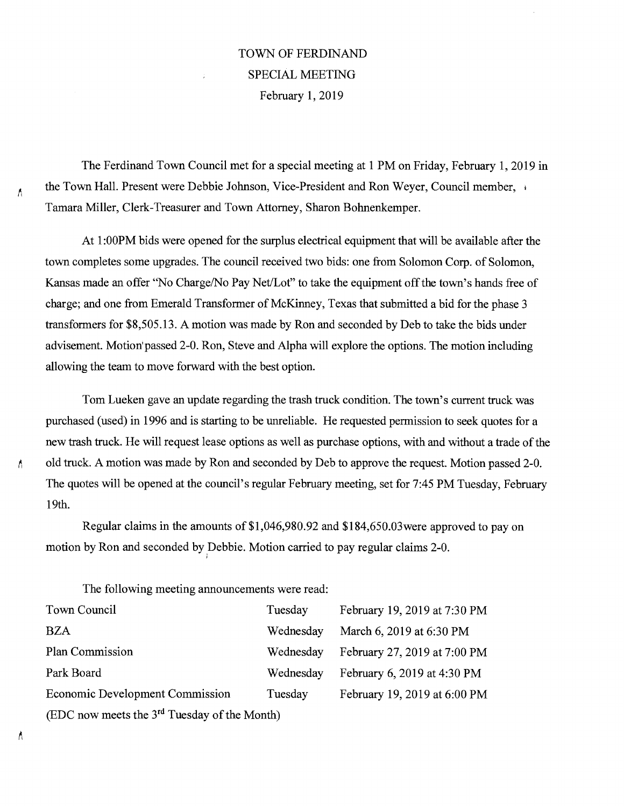## TOWN OF FERDINAND SPECIAL MEETING February 1, 2019

The Ferdinand Town Council met for a special meeting at 1 PM on Friday, February 1, 2019 in the Town Hall. Present were Debbie Johnson, Vice-President and Ron Weyer, Council member, Tamara Miller, Clerk-Treasurer and Town Attorney, Sharon Bohnenkemper.

At 1:00PM bids were opened for the surplus electrical equipment that will be available after the town completes some upgrades. The council received two bids: one from Solomon Corp. of Solomon, Kansas made an offer "No Charge/No Pay Net/Lot" to take the equipment off the town's hands free of charge; and one from Emerald Transformer of McKinney, Texas that submitted a bid for the phase 3 transformers for \$8,505.13. A motion was made by Ron and seconded by Deb to take the bids under advisement. Motion'passed 2-0. Ron, Steve and Alpha will explore the options. The motion including allowing the team to move forward with the best option.

Tom Lueken gave an update regarding the trash truck condition. The town's current truck was purchased (used) in 1996 and is starting to be unreliable. He requested permission to seek quotes for a new trash truck. He will request lease options as well as purchase options, with and without a trade of the old truck. A motion was made by Ron and seconded by Deb to approve the request. Motion passed 2-0. The quotes will be opened at the council's regular February meeting, set for 7:45 PM Tuesday, February 19th.

Regular claims in the amounts of \$1,046,980.92 and \$184,650.03were approved to pay on motion by Ron and seconded by Debbie. Motion carried to pay regular claims 2-0.

The following meeting announcements were read:

| Town Council                                             | Tuesday   | February 19, 2019 at 7:30 PM |
|----------------------------------------------------------|-----------|------------------------------|
| <b>BZA</b>                                               | Wednesday | March 6, 2019 at 6:30 PM     |
| Plan Commission                                          | Wednesday | February 27, 2019 at 7:00 PM |
| Park Board                                               | Wednesday | February 6, 2019 at 4:30 PM  |
| <b>Economic Development Commission</b>                   | Tuesday   | February 19, 2019 at 6:00 PM |
| (EDC now meets the 3 <sup>rd</sup> Tuesday of the Month) |           |                              |

Ă

Λ

A